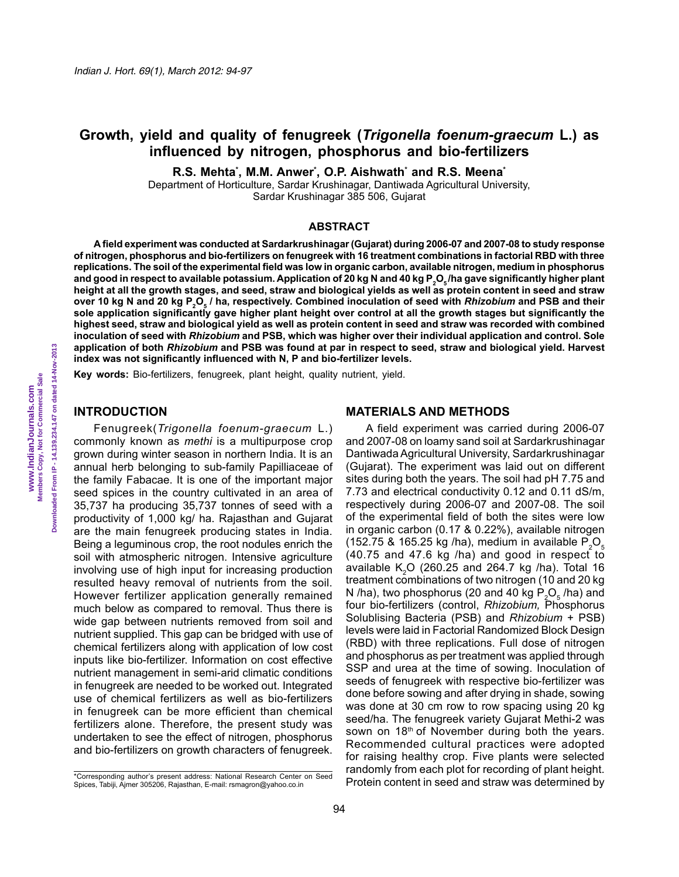# **Growth, yield and quality of fenugreek (***Trigonella foenum-graecum* **L.) as influenced by nitrogen, phosphorus and bio-fertilizers**

**R.S. Mehta\* , M.M. Anwer\* , O.P. Aishwath\* and R.S. Meena\***

Department of Horticulture, Sardar Krushinagar, Dantiwada Agricultural University, Sardar Krushinagar 385 506, Gujarat

### **ABSTRACT**

**A field experiment was conducted at Sardarkrushinagar (Gujarat) during 2006-07 and 2007-08 to study response of nitrogen, phosphorus and bio-fertilizers on fenugreek with 16 treatment combinations in factorial RBD with three replications. The soil of the experimental field was low in organic carbon, available nitrogen, medium in phosphorus**  and good in respect to available potassium. Application of 20 kg N and 40 kg P<sub>2</sub>O<sub>5</sub>/ha gave significantly higher plant **height at all the growth stages, and seed, straw and biological yields as well as protein content in seed and straw**  over 10 kg N and 20 kg P<sub>2</sub>O<sub>5</sub> / ha, respectively. Combined inoculation of seed with *Rhizobium* and PSB and their **sole application significantly gave higher plant height over control at all the growth stages but significantly the highest seed, straw and biological yield as well as protein content in seed and straw was recorded with combined inoculation of seed with** *Rhizobium* **and PSB, which was higher over their individual application and control. Sole application of both** *Rhizobium* **and PSB was found at par in respect to seed, straw and biological yield. Harvest index was not significantly influenced with N, P and bio-fertilizer levels.** 

**Key words:** Bio-fertilizers, fenugreek, plant height, quality nutrient, yield.

#### **INTRODUCTION**

Fenugreek(*Trigonella foenum-graecum* L.) commonly known as *methi* is a multipurpose crop grown during winter season in northern India. It is an annual herb belonging to sub-family Papilliaceae of the family Fabacae. It is one of the important major seed spices in the country cultivated in an area of 35,737 ha producing 35,737 tonnes of seed with a productivity of 1,000 kg/ ha. Rajasthan and Gujarat are the main fenugreek producing states in India. Being a leguminous crop, the root nodules enrich the soil with atmospheric nitrogen. Intensive agriculture involving use of high input for increasing production resulted heavy removal of nutrients from the soil. However fertilizer application generally remained much below as compared to removal. Thus there is wide gap between nutrients removed from soil and nutrient supplied. This gap can be bridged with use of chemical fertilizers along with application of low cost inputs like bio-fertilizer. Information on cost effective nutrient management in semi-arid climatic conditions in fenugreek are needed to be worked out. Integrated use of chemical fertilizers as well as bio-fertilizers in fenugreek can be more efficient than chemical fertilizers alone. Therefore, the present study was undertaken to see the effect of nitrogen, phosphorus and bio-fertilizers on growth characters of fenugreek.

#### **MATERIALS AND METHODS**

A field experiment was carried during 2006-07 and 2007-08 on loamy sand soil at Sardarkrushinagar Dantiwada Agricultural University, Sardarkrushinagar (Gujarat). The experiment was laid out on different sites during both the years. The soil had pH 7.75 and 7.73 and electrical conductivity 0.12 and 0.11 dS/m, respectively during 2006-07 and 2007-08. The soil of the experimental field of both the sites were low in organic carbon (0.17 & 0.22%), available nitrogen (152.75 & 165.25 kg /ha), medium in available  $P_2O_5$ (40.75 and 47.6 kg /ha) and good in respect to available  $K_2O$  (260.25 and 264.7 kg /ha). Total 16 treatment combinations of two nitrogen (10 and 20 kg N /ha), two phosphorus (20 and 40 kg  $P_2O_5$  /ha) and four bio-fertilizers (control, *Rhizobium,* Phosphorus Solublising Bacteria (PSB) and *Rhizobium* + PSB) levels were laid in Factorial Randomized Block Design (RBD) with three replications. Full dose of nitrogen and phosphorus as per treatment was applied through SSP and urea at the time of sowing. Inoculation of seeds of fenugreek with respective bio-fertilizer was done before sowing and after drying in shade, sowing was done at 30 cm row to row spacing using 20 kg seed/ha. The fenugreek variety Gujarat Methi-2 was sown on 18<sup>th</sup> of November during both the years. Recommended cultural practices were adopted for raising healthy crop. Five plants were selected randomly from each plot for recording of plant height. Protein content in seed and straw was determined by

<sup>\*</sup>Corresponding author's present address: National Research Center on Seed Spices, Tabiji, Ajmer 305206, Rajasthan, E-mail: rsmagron@yahoo.co.in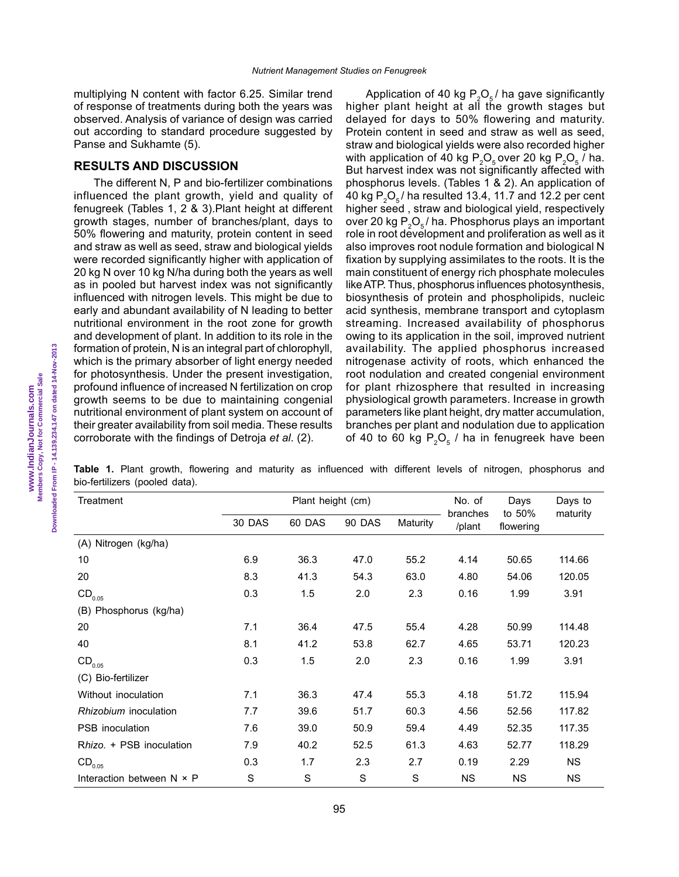multiplying N content with factor 6.25. Similar trend of response of treatments during both the years was observed. Analysis of variance of design was carried out according to standard procedure suggested by Panse and Sukhamte (5).

### **RESULTS AND DISCUSSION**

The different N, P and bio-fertilizer combinations influenced the plant growth, yield and quality of fenugreek (Tables 1, 2 & 3).Plant height at different growth stages, number of branches/plant, days to 50% flowering and maturity, protein content in seed and straw as well as seed, straw and biological yields were recorded significantly higher with application of 20 kg N over 10 kg N/ha during both the years as well as in pooled but harvest index was not significantly influenced with nitrogen levels. This might be due to early and abundant availability of N leading to better nutritional environment in the root zone for growth and development of plant. In addition to its role in the formation of protein, N is an integral part of chlorophyll, which is the primary absorber of light energy needed for photosynthesis. Under the present investigation, profound influence of increased N fertilization on crop growth seems to be due to maintaining congenial nutritional environment of plant system on account of their greater availability from soil media. These results corroborate with the findings of Detroja *et al*. (2).

Application of 40 kg  $P_2O_5/$  ha gave significantly higher plant height at all the growth stages but delayed for days to 50% flowering and maturity. Protein content in seed and straw as well as seed, straw and biological yields were also recorded higher with application of 40 kg  $P_2O_5$  over 20 kg  $P_2O_5$  / ha. But harvest index was not significantly affected with phosphorus levels. (Tables 1 & 2). An application of 40 kg  $P_2O_5$ / ha resulted 13.4, 11.7 and 12.2 per cent higher seed , straw and biological yield, respectively over 20 kg  $\mathsf{P}_2\mathsf{O}_5$ / ha. Phosphorus plays an important role in root development and proliferation as well as it also improves root nodule formation and biological N fixation by supplying assimilates to the roots. It is the main constituent of energy rich phosphate molecules like ATP. Thus, phosphorus influences photosynthesis, biosynthesis of protein and phospholipids, nucleic acid synthesis, membrane transport and cytoplasm streaming. Increased availability of phosphorus owing to its application in the soil, improved nutrient availability. The applied phosphorus increased nitrogenase activity of roots, which enhanced the root nodulation and created congenial environment for plant rhizosphere that resulted in increasing physiological growth parameters. Increase in growth parameters like plant height, dry matter accumulation, branches per plant and nodulation due to application of 40 to 60 kg  $P_2O_5$  / ha in fenugreek have been

**Table 1.** Plant growth, flowering and maturity as influenced with different levels of nitrogen, phosphorus and bio-fertilizers (pooled data).

| Treatment                        |        | Plant height (cm) |               | No. of   | Days               | Days to             |           |
|----------------------------------|--------|-------------------|---------------|----------|--------------------|---------------------|-----------|
|                                  | 30 DAS | 60 DAS            | <b>90 DAS</b> | Maturity | branches<br>/plant | to 50%<br>flowering | maturity  |
| (A) Nitrogen (kg/ha)             |        |                   |               |          |                    |                     |           |
| 10                               | 6.9    | 36.3              | 47.0          | 55.2     | 4.14               | 50.65               | 114.66    |
| 20                               | 8.3    | 41.3              | 54.3          | 63.0     | 4.80               | 54.06               | 120.05    |
| $\mathsf{CD}_{_{0.05}}$          | 0.3    | 1.5               | 2.0           | 2.3      | 0.16               | 1.99                | 3.91      |
| (B) Phosphorus (kg/ha)           |        |                   |               |          |                    |                     |           |
| 20                               | 7.1    | 36.4              | 47.5          | 55.4     | 4.28               | 50.99               | 114.48    |
| 40                               | 8.1    | 41.2              | 53.8          | 62.7     | 4.65               | 53.71               | 120.23    |
| $\mathsf{CD}_{_{0.05}}$          | 0.3    | 1.5               | 2.0           | 2.3      | 0.16               | 1.99                | 3.91      |
| (C) Bio-fertilizer               |        |                   |               |          |                    |                     |           |
| Without inoculation              | 7.1    | 36.3              | 47.4          | 55.3     | 4.18               | 51.72               | 115.94    |
| Rhizobium inoculation            | 7.7    | 39.6              | 51.7          | 60.3     | 4.56               | 52.56               | 117.82    |
| <b>PSB</b> inoculation           | 7.6    | 39.0              | 50.9          | 59.4     | 4.49               | 52.35               | 117.35    |
| Rhizo. + PSB inoculation         | 7.9    | 40.2              | 52.5          | 61.3     | 4.63               | 52.77               | 118.29    |
| $\mathsf{CD}_{_{0.05}}$          | 0.3    | 1.7               | 2.3           | 2.7      | 0.19               | 2.29                | <b>NS</b> |
| Interaction between $N \times P$ | S      | S                 | S             | S        | <b>NS</b>          | <b>NS</b>           | <b>NS</b> |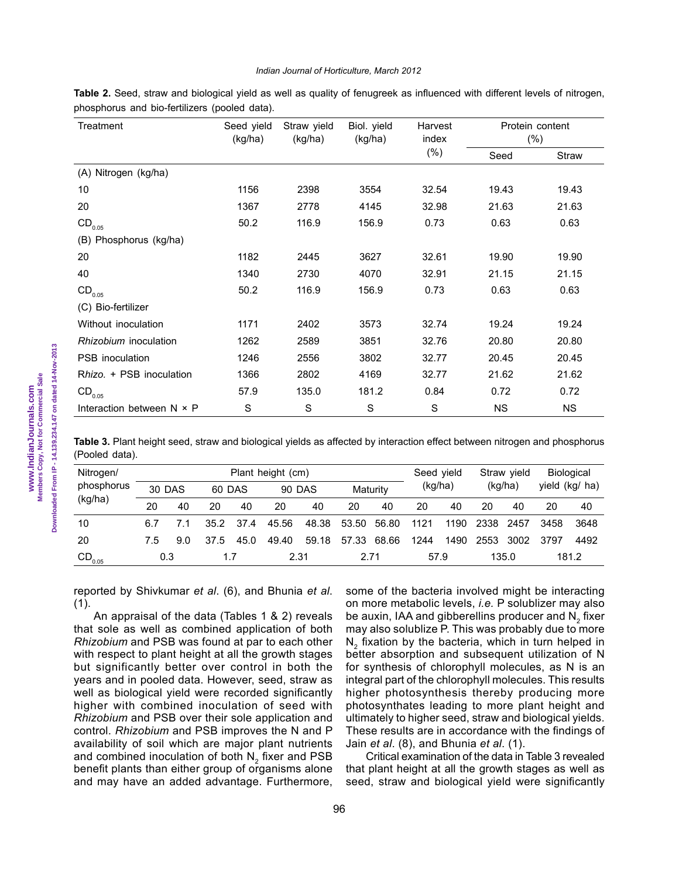#### *Indian Journal of Horticulture, March 2012*

**Table 2.** Seed, straw and biological yield as well as quality of fenugreek as influenced with different levels of nitrogen, phosphorus and bio-fertilizers (pooled data).

| Treatment                        | Seed yield<br>(kg/ha) | Straw yield<br>(kg/ha) | Biol. yield<br>(kg/ha) | Harvest<br>index | Protein content<br>$(\% )$ |           |  |
|----------------------------------|-----------------------|------------------------|------------------------|------------------|----------------------------|-----------|--|
|                                  |                       |                        |                        | $(\%)$           | Seed                       | Straw     |  |
| (A) Nitrogen (kg/ha)             |                       |                        |                        |                  |                            |           |  |
| 10                               | 1156                  | 2398                   | 3554                   | 32.54            | 19.43                      | 19.43     |  |
| 20                               | 1367                  | 2778                   | 4145                   | 32.98            | 21.63                      | 21.63     |  |
| $\mathsf{CD}_{_{0.05}}$          | 50.2                  | 116.9                  | 156.9                  | 0.73             | 0.63                       | 0.63      |  |
| (B) Phosphorus (kg/ha)           |                       |                        |                        |                  |                            |           |  |
| 20                               | 1182                  | 2445                   | 3627                   | 32.61            | 19.90                      | 19.90     |  |
| 40                               | 1340                  | 2730                   | 4070                   | 32.91            | 21.15                      | 21.15     |  |
| $\mathsf{CD}_{_{0.05}}$          | 50.2                  | 116.9                  | 156.9                  | 0.73             | 0.63                       | 0.63      |  |
| (C) Bio-fertilizer               |                       |                        |                        |                  |                            |           |  |
| Without inoculation              | 1171                  | 2402                   | 3573                   | 32.74            | 19.24                      | 19.24     |  |
| Rhizobium inoculation            | 1262                  | 2589                   | 3851                   | 32.76            | 20.80                      | 20.80     |  |
| <b>PSB</b> inoculation           | 1246                  | 2556                   | 3802                   | 32.77            | 20.45                      | 20.45     |  |
| Rhizo. + PSB inoculation         | 1366                  | 2802                   | 4169                   | 32.77            | 21.62                      | 21.62     |  |
| $CD_{0.05}$                      | 57.9                  | 135.0                  | 181.2                  | 0.84             | 0.72                       | 0.72      |  |
| Interaction between $N \times P$ | S                     | S                      | S                      | S                | <b>NS</b>                  | <b>NS</b> |  |

**Table 3.** Plant height seed, straw and biological yields as affected by interaction effect between nitrogen and phosphorus (Pooled data).

| Nitrogen/               | Plant height (cm) |     |              |      |               |       |          | Seed yield |         | Straw yield |         | Biological |                |      |
|-------------------------|-------------------|-----|--------------|------|---------------|-------|----------|------------|---------|-------------|---------|------------|----------------|------|
| phosphorus              | 30 DAS            |     | 60 DAS       |      | <b>90 DAS</b> |       | Maturity |            | (kg/ha) |             | (kg/ha) |            | yield (kg/ ha) |      |
| (kg/ha)                 | 20                | 40  | 20           | 40   | 20            | 40    | 20       | 40         | 20      | 40          | 20      | 40         | 20             | 40   |
| 10                      | 6.7               |     | 35.2         | 37.4 | 45.56         | 48.38 | 53.50    | 56.80      | 1121    | 1190        | 2338    | 2457       | 3458           | 3648 |
| 20                      | 7.5               | 9.0 | 37.5         | 45.0 | 49.40         | 59.18 | 57.33    | 68.66      | 1244    | 1490        | 2553    | 3002       | 3797           | 4492 |
| $\mathsf{CD}_{_{0.05}}$ | 0.3<br>1.7        |     | 2.71<br>2.31 |      |               | 57.9  |          | 135.0      |         | 181.2       |         |            |                |      |

reported by Shivkumar *et al*. (6), and Bhunia *et al*.  $(1).$ 

An appraisal of the data (Tables 1 & 2) reveals that sole as well as combined application of both *Rhizobium* and PSB was found at par to each other with respect to plant height at all the growth stages but significantly better over control in both the years and in pooled data. However, seed, straw as well as biological yield were recorded significantly higher with combined inoculation of seed with *Rhizobium* and PSB over their sole application and control. *Rhizobium* and PSB improves the N and P availability of soil which are major plant nutrients and combined inoculation of both  $N_2$  fixer and PSB benefit plants than either group of organisms alone and may have an added advantage. Furthermore,

some of the bacteria involved might be interacting on more metabolic levels, *i.e.* P solublizer may also be auxin, IAA and gibberellins producer and  $\mathsf{N}_{_2}$  fixer may also solublize P. This was probably due to more  $N_2$  fixation by the bacteria, which in turn helped in better absorption and subsequent utilization of N for synthesis of chlorophyll molecules, as N is an integral part of the chlorophyll molecules. This results higher photosynthesis thereby producing more photosynthates leading to more plant height and ultimately to higher seed, straw and biological yields. These results are in accordance with the findings of Jain *et al*. (8), and Bhunia *et al*. (1).

Critical examination of the data in Table 3 revealed that plant height at all the growth stages as well as seed, straw and biological yield were significantly